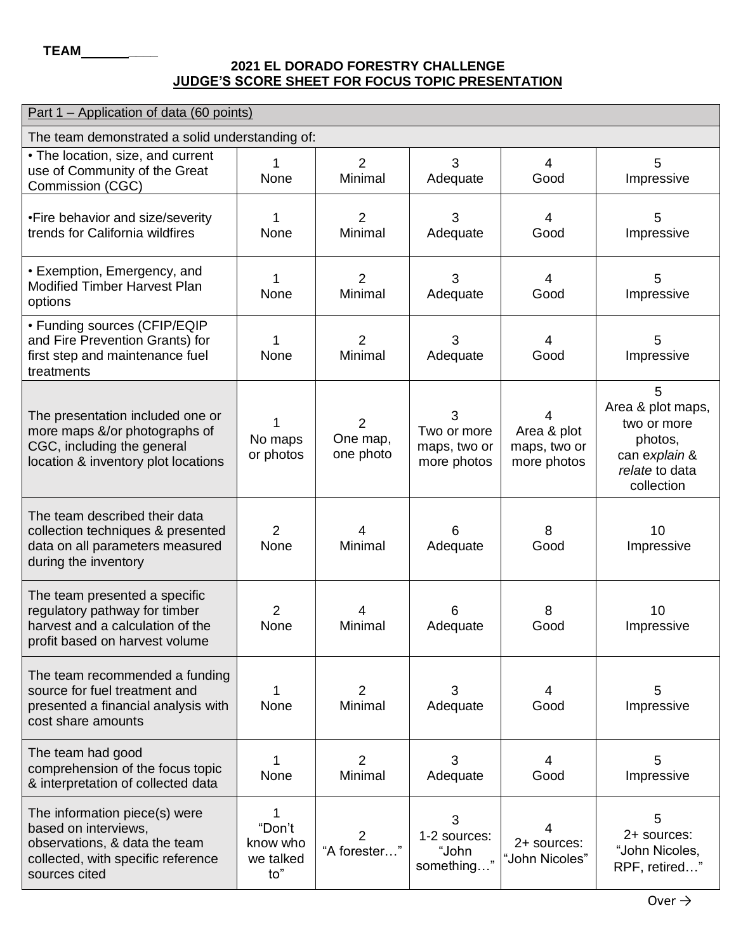## **2021 EL DORADO FORESTRY CHALLENGE JUDGE'S SCORE SHEET FOR FOCUS TOPIC PRESENTATION**

| <u>Part 1 – Application of data (60 points)</u>                                                                                               |                                             |                                         |                                                 |                                                 |                                                                                                   |  |  |  |
|-----------------------------------------------------------------------------------------------------------------------------------------------|---------------------------------------------|-----------------------------------------|-------------------------------------------------|-------------------------------------------------|---------------------------------------------------------------------------------------------------|--|--|--|
| The team demonstrated a solid understanding of:                                                                                               |                                             |                                         |                                                 |                                                 |                                                                                                   |  |  |  |
| • The location, size, and current<br>use of Community of the Great<br>Commission (CGC)                                                        | 1<br>None                                   | $\overline{2}$<br>Minimal               | 3<br>Adequate                                   | $\overline{4}$<br>Good                          | 5<br>Impressive                                                                                   |  |  |  |
| •Fire behavior and size/severity<br>trends for California wildfires                                                                           | 1<br>None                                   | $\overline{2}$<br>Minimal               | 3<br>Adequate                                   | $\overline{4}$<br>Good                          | 5<br>Impressive                                                                                   |  |  |  |
| • Exemption, Emergency, and<br><b>Modified Timber Harvest Plan</b><br>options                                                                 | 1<br>None                                   | $\overline{2}$<br>Minimal               | 3<br>Adequate                                   | 4<br>Good                                       | 5<br>Impressive                                                                                   |  |  |  |
| • Funding sources (CFIP/EQIP<br>and Fire Prevention Grants) for<br>first step and maintenance fuel<br>treatments                              | 1<br>None                                   | $\overline{2}$<br>Minimal               | 3<br>Adequate                                   | $\overline{4}$<br>Good                          | 5<br>Impressive                                                                                   |  |  |  |
| The presentation included one or<br>more maps &/or photographs of<br>CGC, including the general<br>location & inventory plot locations        | No maps<br>or photos                        | $\overline{2}$<br>One map,<br>one photo | 3<br>Two or more<br>maps, two or<br>more photos | 4<br>Area & plot<br>maps, two or<br>more photos | 5<br>Area & plot maps,<br>two or more<br>photos,<br>can explain &<br>relate to data<br>collection |  |  |  |
| The team described their data<br>collection techniques & presented<br>data on all parameters measured<br>during the inventory                 | $\overline{2}$<br>None                      | 4<br>Minimal                            | 6<br>Adequate                                   | 8<br>Good                                       | 10<br>Impressive                                                                                  |  |  |  |
| The team presented a specific<br>regulatory pathway for timber<br>harvest and a calculation of the<br>profit based on harvest volume          | $\overline{2}$<br>None                      | 4<br>Minimal                            | 6<br>Adequate                                   | 8<br>Good                                       | 10<br>Impressive                                                                                  |  |  |  |
| The team recommended a funding<br>source for fuel treatment and<br>presented a financial analysis with<br>cost share amounts                  | 1<br>None                                   | 2<br>Minimal                            | 3<br>Adequate                                   | 4<br>Good                                       | 5<br>Impressive                                                                                   |  |  |  |
| The team had good<br>comprehension of the focus topic<br>& interpretation of collected data                                                   | 1<br>None                                   | $\overline{2}$<br>Minimal               | 3<br>Adequate                                   | 4<br>Good                                       | 5<br>Impressive                                                                                   |  |  |  |
| The information piece(s) were<br>based on interviews,<br>observations, & data the team<br>collected, with specific reference<br>sources cited | 1<br>"Don't<br>know who<br>we talked<br>to" | $\overline{2}$<br>"A forester"          | 3<br>1-2 sources:<br>"John<br>something         | 4<br>2+ sources:<br>"John Nicoles"              | 5<br>2+ sources:<br>"John Nicoles,<br>RPF, retired"                                               |  |  |  |